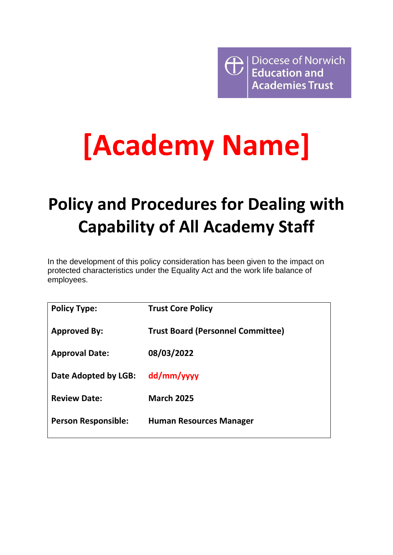Diocese of Norwich **Education and Academies Trust** 

# **[Academy Name]**

# **Policy and Procedures for Dealing with Capability of All Academy Staff**

In the development of this policy consideration has been given to the impact on protected characteristics under the Equality Act and the work life balance of employees.

| <b>Policy Type:</b>        | <b>Trust Core Policy</b>                 |
|----------------------------|------------------------------------------|
| <b>Approved By:</b>        | <b>Trust Board (Personnel Committee)</b> |
| <b>Approval Date:</b>      | 08/03/2022                               |
| Date Adopted by LGB:       | dd/mm/yyyy                               |
| <b>Review Date:</b>        | <b>March 2025</b>                        |
| <b>Person Responsible:</b> | <b>Human Resources Manager</b>           |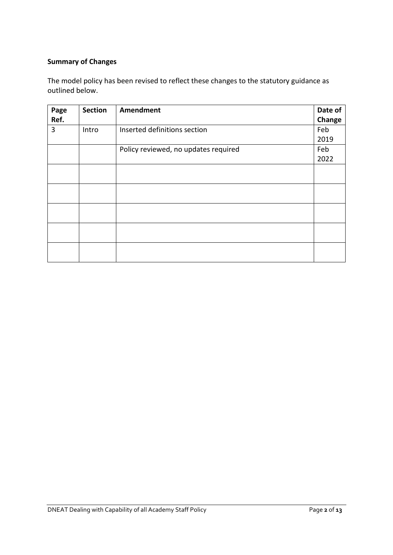#### **Summary of Changes**

The model policy has been revised to reflect these changes to the statutory guidance as outlined below.

| Page | <b>Section</b> | <b>Amendment</b>                     | Date of |
|------|----------------|--------------------------------------|---------|
| Ref. |                |                                      | Change  |
| 3    | Intro          | Inserted definitions section         | Feb     |
|      |                |                                      | 2019    |
|      |                | Policy reviewed, no updates required | Feb     |
|      |                |                                      | 2022    |
|      |                |                                      |         |
|      |                |                                      |         |
|      |                |                                      |         |
|      |                |                                      |         |
|      |                |                                      |         |
|      |                |                                      |         |
|      |                |                                      |         |
|      |                |                                      |         |
|      |                |                                      |         |
|      |                |                                      |         |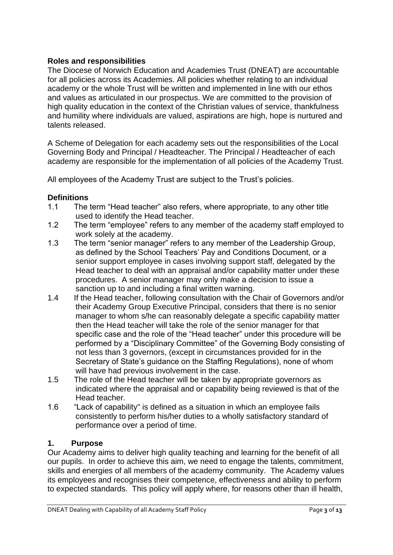# **Roles and responsibilities**

The Diocese of Norwich Education and Academies Trust (DNEAT) are accountable for all policies across its Academies. All policies whether relating to an individual academy or the whole Trust will be written and implemented in line with our ethos and values as articulated in our prospectus. We are committed to the provision of high quality education in the context of the Christian values of service, thankfulness and humility where individuals are valued, aspirations are high, hope is nurtured and talents released.

A Scheme of Delegation for each academy sets out the responsibilities of the Local Governing Body and Principal / Headteacher. The Principal / Headteacher of each academy are responsible for the implementation of all policies of the Academy Trust.

All employees of the Academy Trust are subject to the Trust's policies.

#### **Definitions**

- 1.1 The term "Head teacher" also refers, where appropriate, to any other title used to identify the Head teacher.
- 1.2 The term "employee" refers to any member of the academy staff employed to work solely at the academy.
- 1.3 The term "senior manager" refers to any member of the Leadership Group, as defined by the School Teachers' Pay and Conditions Document, or a senior support employee in cases involving support staff, delegated by the Head teacher to deal with an appraisal and/or capability matter under these procedures. A senior manager may only make a decision to issue a sanction up to and including a final written warning.
- 1.4 If the Head teacher, following consultation with the Chair of Governors and/or their Academy Group Executive Principal, considers that there is no senior manager to whom s/he can reasonably delegate a specific capability matter then the Head teacher will take the role of the senior manager for that specific case and the role of the "Head teacher" under this procedure will be performed by a "Disciplinary Committee" of the Governing Body consisting of not less than 3 governors, (except in circumstances provided for in the Secretary of State's guidance on the Staffing Regulations), none of whom will have had previous involvement in the case.
- 1.5 The role of the Head teacher will be taken by appropriate governors as indicated where the appraisal and or capability being reviewed is that of the Head teacher.
- 1.6 "Lack of capability" is defined as a situation in which an employee fails consistently to perform his/her duties to a wholly satisfactory standard of performance over a period of time.

#### **1. Purpose**

Our Academy aims to deliver high quality teaching and learning for the benefit of all our pupils. In order to achieve this aim, we need to engage the talents, commitment, skills and energies of all members of the academy community. The Academy values its employees and recognises their competence, effectiveness and ability to perform to expected standards. This policy will apply where, for reasons other than ill health,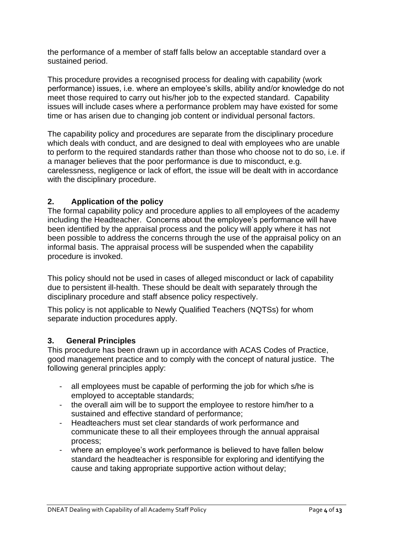the performance of a member of staff falls below an acceptable standard over a sustained period.

This procedure provides a recognised process for dealing with capability (work performance) issues, i.e. where an employee's skills, ability and/or knowledge do not meet those required to carry out his/her job to the expected standard. Capability issues will include cases where a performance problem may have existed for some time or has arisen due to changing job content or individual personal factors.

The capability policy and procedures are separate from the disciplinary procedure which deals with conduct, and are designed to deal with employees who are unable to perform to the required standards rather than those who choose not to do so, i.e. if a manager believes that the poor performance is due to misconduct, e.g. carelessness, negligence or lack of effort, the issue will be dealt with in accordance with the disciplinary procedure.

# **2. Application of the policy**

The formal capability policy and procedure applies to all employees of the academy including the Headteacher. Concerns about the employee's performance will have been identified by the appraisal process and the policy will apply where it has not been possible to address the concerns through the use of the appraisal policy on an informal basis. The appraisal process will be suspended when the capability procedure is invoked.

This policy should not be used in cases of alleged misconduct or lack of capability due to persistent ill-health. These should be dealt with separately through the disciplinary procedure and staff absence policy respectively.

This policy is not applicable to Newly Qualified Teachers (NQTSs) for whom separate induction procedures apply.

# **3. General Principles**

This procedure has been drawn up in accordance with ACAS Codes of Practice, good management practice and to comply with the concept of natural justice. The following general principles apply:

- all employees must be capable of performing the job for which s/he is employed to acceptable standards;
- the overall aim will be to support the employee to restore him/her to a sustained and effective standard of performance;
- Headteachers must set clear standards of work performance and communicate these to all their employees through the annual appraisal process;
- where an employee's work performance is believed to have fallen below standard the headteacher is responsible for exploring and identifying the cause and taking appropriate supportive action without delay;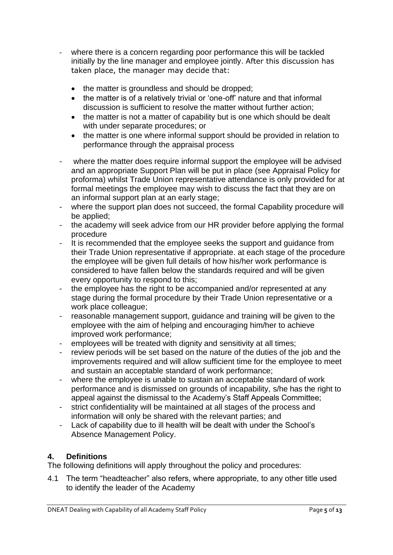- where there is a concern regarding poor performance this will be tackled initially by the line manager and employee jointly. After this discussion has taken place, the manager may decide that:
	- the matter is groundless and should be dropped;
	- the matter is of a relatively trivial or 'one-off' nature and that informal discussion is sufficient to resolve the matter without further action;
	- the matter is not a matter of capability but is one which should be dealt with under separate procedures; or
	- the matter is one where informal support should be provided in relation to performance through the appraisal process
- where the matter does require informal support the employee will be advised and an appropriate Support Plan will be put in place (see Appraisal Policy for proforma) whilst Trade Union representative attendance is only provided for at formal meetings the employee may wish to discuss the fact that they are on an informal support plan at an early stage;
- where the support plan does not succeed, the formal Capability procedure will be applied;
- the academy will seek advice from our HR provider before applying the formal procedure
- It is recommended that the employee seeks the support and guidance from their Trade Union representative if appropriate. at each stage of the procedure the employee will be given full details of how his/her work performance is considered to have fallen below the standards required and will be given every opportunity to respond to this;
- the employee has the right to be accompanied and/or represented at any stage during the formal procedure by their Trade Union representative or a work place colleague;
- reasonable management support, guidance and training will be given to the employee with the aim of helping and encouraging him/her to achieve improved work performance;
- employees will be treated with dignity and sensitivity at all times;
- review periods will be set based on the nature of the duties of the job and the improvements required and will allow sufficient time for the employee to meet and sustain an acceptable standard of work performance;
- where the employee is unable to sustain an acceptable standard of work performance and is dismissed on grounds of incapability, s/he has the right to appeal against the dismissal to the Academy's Staff Appeals Committee;
- strict confidentiality will be maintained at all stages of the process and information will only be shared with the relevant parties; and
- Lack of capability due to ill health will be dealt with under the School's Absence Management Policy.

# **4. Definitions**

The following definitions will apply throughout the policy and procedures:

4.1 The term "headteacher" also refers, where appropriate, to any other title used to identify the leader of the Academy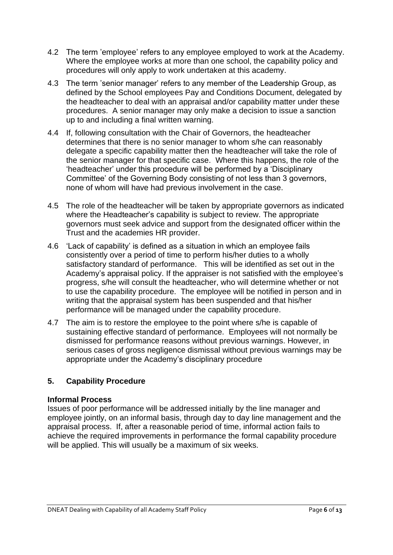- 4.2 The term 'employee' refers to any employee employed to work at the Academy. Where the employee works at more than one school, the capability policy and procedures will only apply to work undertaken at this academy.
- 4.3 The term 'senior manager' refers to any member of the Leadership Group, as defined by the School employees Pay and Conditions Document, delegated by the headteacher to deal with an appraisal and/or capability matter under these procedures. A senior manager may only make a decision to issue a sanction up to and including a final written warning.
- 4.4 If, following consultation with the Chair of Governors, the headteacher determines that there is no senior manager to whom s/he can reasonably delegate a specific capability matter then the headteacher will take the role of the senior manager for that specific case. Where this happens, the role of the 'headteacher' under this procedure will be performed by a 'Disciplinary Committee' of the Governing Body consisting of not less than 3 governors, none of whom will have had previous involvement in the case.
- 4.5 The role of the headteacher will be taken by appropriate governors as indicated where the Headteacher's capability is subject to review. The appropriate governors must seek advice and support from the designated officer within the Trust and the academies HR provider.
- 4.6 'Lack of capability' is defined as a situation in which an employee fails consistently over a period of time to perform his/her duties to a wholly satisfactory standard of performance. This will be identified as set out in the Academy's appraisal policy. If the appraiser is not satisfied with the employee's progress, s/he will consult the headteacher, who will determine whether or not to use the capability procedure. The employee will be notified in person and in writing that the appraisal system has been suspended and that his/her performance will be managed under the capability procedure.
- 4.7 The aim is to restore the employee to the point where s/he is capable of sustaining effective standard of performance. Employees will not normally be dismissed for performance reasons without previous warnings. However, in serious cases of gross negligence dismissal without previous warnings may be appropriate under the Academy's disciplinary procedure

# **5. Capability Procedure**

#### **Informal Process**

Issues of poor performance will be addressed initially by the line manager and employee jointly, on an informal basis, through day to day line management and the appraisal process. If, after a reasonable period of time, informal action fails to achieve the required improvements in performance the formal capability procedure will be applied. This will usually be a maximum of six weeks.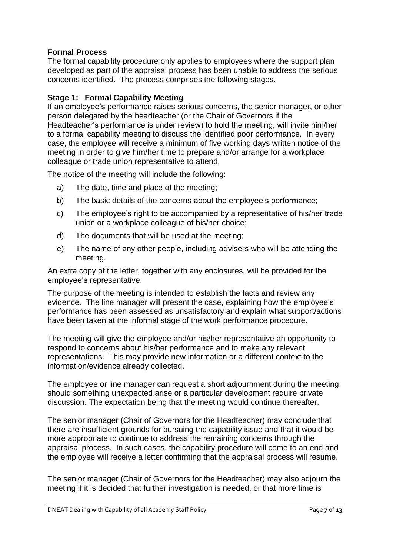# **Formal Process**

The formal capability procedure only applies to employees where the support plan developed as part of the appraisal process has been unable to address the serious concerns identified. The process comprises the following stages.

# **Stage 1: Formal Capability Meeting**

If an employee's performance raises serious concerns, the senior manager, or other person delegated by the headteacher (or the Chair of Governors if the Headteacher's performance is under review) to hold the meeting, will invite him/her to a formal capability meeting to discuss the identified poor performance. In every case, the employee will receive a minimum of five working days written notice of the meeting in order to give him/her time to prepare and/or arrange for a workplace colleague or trade union representative to attend.

The notice of the meeting will include the following:

- a) The date, time and place of the meeting;
- b) The basic details of the concerns about the employee's performance;
- c) The employee's right to be accompanied by a representative of his/her trade union or a workplace colleague of his/her choice;
- d) The documents that will be used at the meeting;
- e) The name of any other people, including advisers who will be attending the meeting.

An extra copy of the letter, together with any enclosures, will be provided for the employee's representative.

The purpose of the meeting is intended to establish the facts and review any evidence. The line manager will present the case, explaining how the employee's performance has been assessed as unsatisfactory and explain what support/actions have been taken at the informal stage of the work performance procedure.

The meeting will give the employee and/or his/her representative an opportunity to respond to concerns about his/her performance and to make any relevant representations. This may provide new information or a different context to the information/evidence already collected.

The employee or line manager can request a short adjournment during the meeting should something unexpected arise or a particular development require private discussion. The expectation being that the meeting would continue thereafter.

The senior manager (Chair of Governors for the Headteacher) may conclude that there are insufficient grounds for pursuing the capability issue and that it would be more appropriate to continue to address the remaining concerns through the appraisal process. In such cases, the capability procedure will come to an end and the employee will receive a letter confirming that the appraisal process will resume.

The senior manager (Chair of Governors for the Headteacher) may also adjourn the meeting if it is decided that further investigation is needed, or that more time is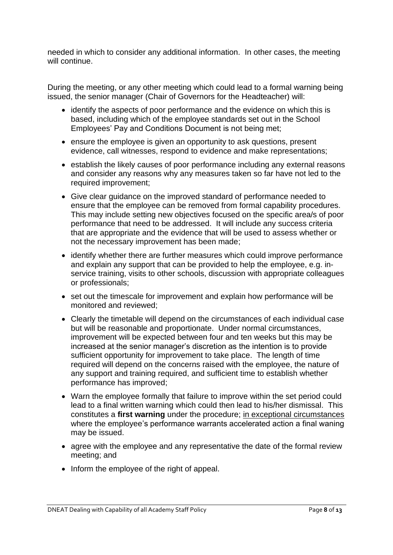needed in which to consider any additional information. In other cases, the meeting will continue.

During the meeting, or any other meeting which could lead to a formal warning being issued, the senior manager (Chair of Governors for the Headteacher) will:

- identify the aspects of poor performance and the evidence on which this is based, including which of the employee standards set out in the School Employees' Pay and Conditions Document is not being met;
- ensure the employee is given an opportunity to ask questions, present evidence, call witnesses, respond to evidence and make representations;
- establish the likely causes of poor performance including any external reasons and consider any reasons why any measures taken so far have not led to the required improvement;
- Give clear guidance on the improved standard of performance needed to ensure that the employee can be removed from formal capability procedures. This may include setting new objectives focused on the specific area/s of poor performance that need to be addressed. It will include any success criteria that are appropriate and the evidence that will be used to assess whether or not the necessary improvement has been made;
- identify whether there are further measures which could improve performance and explain any support that can be provided to help the employee, e.g. inservice training, visits to other schools, discussion with appropriate colleagues or professionals;
- set out the timescale for improvement and explain how performance will be monitored and reviewed;
- Clearly the timetable will depend on the circumstances of each individual case but will be reasonable and proportionate. Under normal circumstances, improvement will be expected between four and ten weeks but this may be increased at the senior manager's discretion as the intention is to provide sufficient opportunity for improvement to take place. The length of time required will depend on the concerns raised with the employee, the nature of any support and training required, and sufficient time to establish whether performance has improved;
- Warn the employee formally that failure to improve within the set period could lead to a final written warning which could then lead to his/her dismissal. This constitutes a **first warning** under the procedure; in exceptional circumstances where the employee's performance warrants accelerated action a final waning may be issued.
- agree with the employee and any representative the date of the formal review meeting; and
- Inform the employee of the right of appeal.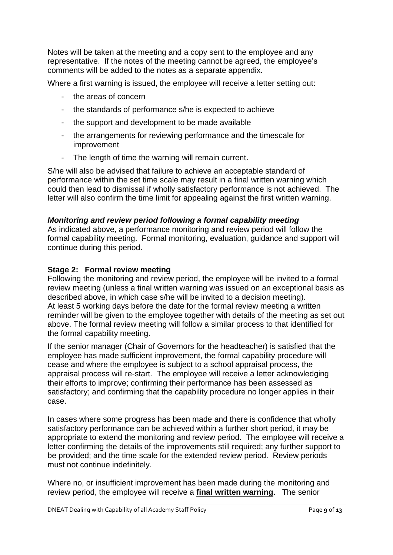Notes will be taken at the meeting and a copy sent to the employee and any representative. If the notes of the meeting cannot be agreed, the employee's comments will be added to the notes as a separate appendix.

Where a first warning is issued, the employee will receive a letter setting out:

- the areas of concern
- the standards of performance s/he is expected to achieve
- the support and development to be made available
- the arrangements for reviewing performance and the timescale for improvement
- The length of time the warning will remain current.

S/he will also be advised that failure to achieve an acceptable standard of performance within the set time scale may result in a final written warning which could then lead to dismissal if wholly satisfactory performance is not achieved. The letter will also confirm the time limit for appealing against the first written warning.

#### *Monitoring and review period following a formal capability meeting*

As indicated above, a performance monitoring and review period will follow the formal capability meeting. Formal monitoring, evaluation, guidance and support will continue during this period.

#### **Stage 2: Formal review meeting**

Following the monitoring and review period, the employee will be invited to a formal review meeting (unless a final written warning was issued on an exceptional basis as described above, in which case s/he will be invited to a decision meeting). At least 5 working days before the date for the formal review meeting a written reminder will be given to the employee together with details of the meeting as set out above. The formal review meeting will follow a similar process to that identified for the formal capability meeting.

If the senior manager (Chair of Governors for the headteacher) is satisfied that the employee has made sufficient improvement, the formal capability procedure will cease and where the employee is subject to a school appraisal process, the appraisal process will re-start. The employee will receive a letter acknowledging their efforts to improve; confirming their performance has been assessed as satisfactory; and confirming that the capability procedure no longer applies in their case.

In cases where some progress has been made and there is confidence that wholly satisfactory performance can be achieved within a further short period, it may be appropriate to extend the monitoring and review period. The employee will receive a letter confirming the details of the improvements still required; any further support to be provided; and the time scale for the extended review period. Review periods must not continue indefinitely.

Where no, or insufficient improvement has been made during the monitoring and review period, the employee will receive a **final written warning**. The senior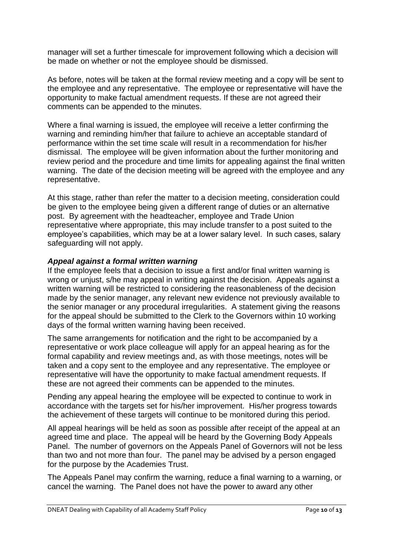manager will set a further timescale for improvement following which a decision will be made on whether or not the employee should be dismissed.

As before, notes will be taken at the formal review meeting and a copy will be sent to the employee and any representative. The employee or representative will have the opportunity to make factual amendment requests. If these are not agreed their comments can be appended to the minutes.

Where a final warning is issued, the employee will receive a letter confirming the warning and reminding him/her that failure to achieve an acceptable standard of performance within the set time scale will result in a recommendation for his/her dismissal. The employee will be given information about the further monitoring and review period and the procedure and time limits for appealing against the final written warning. The date of the decision meeting will be agreed with the employee and any representative.

At this stage, rather than refer the matter to a decision meeting, consideration could be given to the employee being given a different range of duties or an alternative post. By agreement with the headteacher, employee and Trade Union representative where appropriate, this may include transfer to a post suited to the employee's capabilities, which may be at a lower salary level. In such cases, salary safeguarding will not apply.

# *Appeal against a formal written warning*

If the employee feels that a decision to issue a first and/or final written warning is wrong or unjust, s/he may appeal in writing against the decision. Appeals against a written warning will be restricted to considering the reasonableness of the decision made by the senior manager, any relevant new evidence not previously available to the senior manager or any procedural irregularities. A statement giving the reasons for the appeal should be submitted to the Clerk to the Governors within 10 working days of the formal written warning having been received.

The same arrangements for notification and the right to be accompanied by a representative or work place colleague will apply for an appeal hearing as for the formal capability and review meetings and, as with those meetings, notes will be taken and a copy sent to the employee and any representative. The employee or representative will have the opportunity to make factual amendment requests. If these are not agreed their comments can be appended to the minutes.

Pending any appeal hearing the employee will be expected to continue to work in accordance with the targets set for his/her improvement. His/her progress towards the achievement of these targets will continue to be monitored during this period.

All appeal hearings will be held as soon as possible after receipt of the appeal at an agreed time and place. The appeal will be heard by the Governing Body Appeals Panel. The number of governors on the Appeals Panel of Governors will not be less than two and not more than four. The panel may be advised by a person engaged for the purpose by the Academies Trust.

The Appeals Panel may confirm the warning, reduce a final warning to a warning, or cancel the warning. The Panel does not have the power to award any other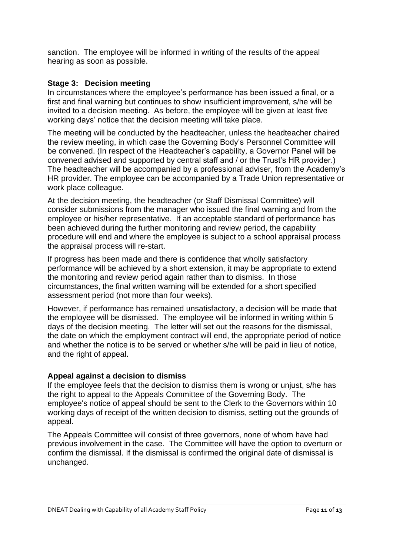sanction. The employee will be informed in writing of the results of the appeal hearing as soon as possible.

# **Stage 3: Decision meeting**

In circumstances where the employee's performance has been issued a final, or a first and final warning but continues to show insufficient improvement, s/he will be invited to a decision meeting. As before, the employee will be given at least five working days' notice that the decision meeting will take place.

The meeting will be conducted by the headteacher, unless the headteacher chaired the review meeting, in which case the Governing Body's Personnel Committee will be convened. (In respect of the Headteacher's capability, a Governor Panel will be convened advised and supported by central staff and / or the Trust's HR provider.) The headteacher will be accompanied by a professional adviser, from the Academy's HR provider. The employee can be accompanied by a Trade Union representative or work place colleague.

At the decision meeting, the headteacher (or Staff Dismissal Committee) will consider submissions from the manager who issued the final warning and from the employee or his/her representative. If an acceptable standard of performance has been achieved during the further monitoring and review period, the capability procedure will end and where the employee is subject to a school appraisal process the appraisal process will re-start.

If progress has been made and there is confidence that wholly satisfactory performance will be achieved by a short extension, it may be appropriate to extend the monitoring and review period again rather than to dismiss. In those circumstances, the final written warning will be extended for a short specified assessment period (not more than four weeks).

However, if performance has remained unsatisfactory, a decision will be made that the employee will be dismissed. The employee will be informed in writing within 5 days of the decision meeting. The letter will set out the reasons for the dismissal, the date on which the employment contract will end, the appropriate period of notice and whether the notice is to be served or whether s/he will be paid in lieu of notice, and the right of appeal.

#### **Appeal against a decision to dismiss**

If the employee feels that the decision to dismiss them is wrong or unjust, s/he has the right to appeal to the Appeals Committee of the Governing Body. The employee's notice of appeal should be sent to the Clerk to the Governors within 10 working days of receipt of the written decision to dismiss, setting out the grounds of appeal.

The Appeals Committee will consist of three governors, none of whom have had previous involvement in the case. The Committee will have the option to overturn or confirm the dismissal. If the dismissal is confirmed the original date of dismissal is unchanged.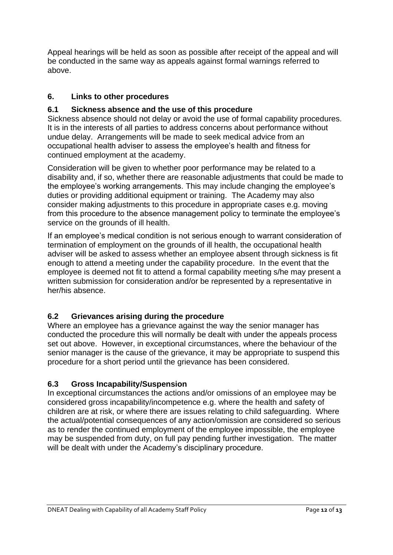Appeal hearings will be held as soon as possible after receipt of the appeal and will be conducted in the same way as appeals against formal warnings referred to above.

# **6. Links to other procedures**

# **6.1 Sickness absence and the use of this procedure**

Sickness absence should not delay or avoid the use of formal capability procedures. It is in the interests of all parties to address concerns about performance without undue delay. Arrangements will be made to seek medical advice from an occupational health adviser to assess the employee's health and fitness for continued employment at the academy.

Consideration will be given to whether poor performance may be related to a disability and, if so, whether there are reasonable adjustments that could be made to the employee's working arrangements. This may include changing the employee's duties or providing additional equipment or training. The Academy may also consider making adjustments to this procedure in appropriate cases e.g. moving from this procedure to the absence management policy to terminate the employee's service on the grounds of ill health.

If an employee's medical condition is not serious enough to warrant consideration of termination of employment on the grounds of ill health, the occupational health adviser will be asked to assess whether an employee absent through sickness is fit enough to attend a meeting under the capability procedure. In the event that the employee is deemed not fit to attend a formal capability meeting s/he may present a written submission for consideration and/or be represented by a representative in her/his absence.

# **6.2 Grievances arising during the procedure**

Where an employee has a grievance against the way the senior manager has conducted the procedure this will normally be dealt with under the appeals process set out above. However, in exceptional circumstances, where the behaviour of the senior manager is the cause of the grievance, it may be appropriate to suspend this procedure for a short period until the grievance has been considered.

# **6.3 Gross Incapability/Suspension**

In exceptional circumstances the actions and/or omissions of an employee may be considered gross incapability/incompetence e.g. where the health and safety of children are at risk, or where there are issues relating to child safeguarding. Where the actual/potential consequences of any action/omission are considered so serious as to render the continued employment of the employee impossible, the employee may be suspended from duty, on full pay pending further investigation. The matter will be dealt with under the Academy's disciplinary procedure.